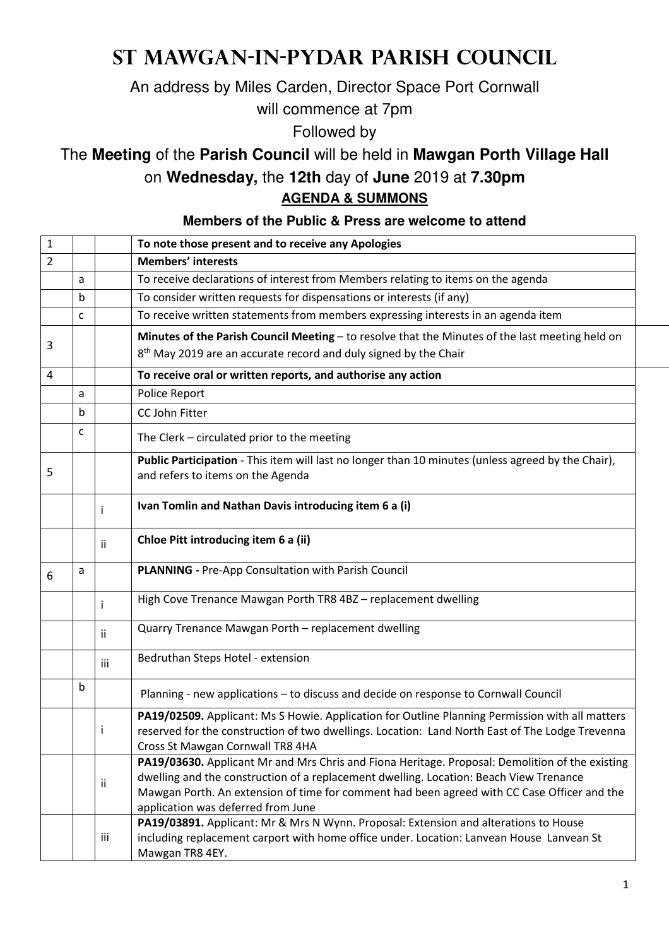## **St Mawgan-in-Pydar Parish Council**

An address by Miles Carden, Director Space Port Cornwall

will commence at 7pm

Followed by

The **Meeting** of the **Parish Council** will be held in **Mawgan Porth Village Hall**

on **Wednesday,** the **12th** day of **June** 2019 at **7.30pm**

**AGENDA & SUMMONS** 

**Members of the Public & Press are welcome to attend**

| $\mathbf 1$    |             |     | To note those present and to receive any Apologies                                                                                                                                                                                                                                                                             |  |
|----------------|-------------|-----|--------------------------------------------------------------------------------------------------------------------------------------------------------------------------------------------------------------------------------------------------------------------------------------------------------------------------------|--|
| $\overline{2}$ |             |     | <b>Members' interests</b>                                                                                                                                                                                                                                                                                                      |  |
|                | a           |     | To receive declarations of interest from Members relating to items on the agenda                                                                                                                                                                                                                                               |  |
|                | b           |     | To consider written requests for dispensations or interests (if any)                                                                                                                                                                                                                                                           |  |
|                | C           |     | To receive written statements from members expressing interests in an agenda item                                                                                                                                                                                                                                              |  |
| 3              |             |     | Minutes of the Parish Council Meeting - to resolve that the Minutes of the last meeting held on<br>8 <sup>th</sup> May 2019 are an accurate record and duly signed by the Chair                                                                                                                                                |  |
| 4              |             |     | To receive oral or written reports, and authorise any action                                                                                                                                                                                                                                                                   |  |
|                | a           |     | Police Report                                                                                                                                                                                                                                                                                                                  |  |
|                | b           |     | CC John Fitter                                                                                                                                                                                                                                                                                                                 |  |
|                | c           |     | The Clerk - circulated prior to the meeting                                                                                                                                                                                                                                                                                    |  |
| 5              |             |     | Public Participation - This item will last no longer than 10 minutes (unless agreed by the Chair),<br>and refers to items on the Agenda                                                                                                                                                                                        |  |
|                |             | Ť   | Ivan Tomlin and Nathan Davis introducing item 6 a (i)                                                                                                                                                                                                                                                                          |  |
|                |             | ii. | Chloe Pitt introducing item 6 a (ii)                                                                                                                                                                                                                                                                                           |  |
| 6              | a           |     | PLANNING - Pre-App Consultation with Parish Council                                                                                                                                                                                                                                                                            |  |
|                |             |     | High Cove Trenance Mawgan Porth TR8 4BZ - replacement dwelling                                                                                                                                                                                                                                                                 |  |
|                |             | ii  | Quarry Trenance Mawgan Porth - replacement dwelling                                                                                                                                                                                                                                                                            |  |
|                |             | iii | Bedruthan Steps Hotel - extension                                                                                                                                                                                                                                                                                              |  |
|                | $\mathbf b$ |     | Planning - new applications - to discuss and decide on response to Cornwall Council                                                                                                                                                                                                                                            |  |
|                |             |     | PA19/02509. Applicant: Ms S Howie. Application for Outline Planning Permission with all matters<br>reserved for the construction of two dwellings. Location: Land North East of The Lodge Trevenna<br>Cross St Mawgan Cornwall TR8 4HA                                                                                         |  |
|                |             | ii. | PA19/03630. Applicant Mr and Mrs Chris and Fiona Heritage. Proposal: Demolition of the existing<br>dwelling and the construction of a replacement dwelling. Location: Beach View Trenance<br>Mawgan Porth. An extension of time for comment had been agreed with CC Case Officer and the<br>application was deferred from June |  |
|                |             | iii | PA19/03891. Applicant: Mr & Mrs N Wynn. Proposal: Extension and alterations to House<br>including replacement carport with home office under. Location: Lanvean House Lanvean St<br>Mawgan TR8 4EY.                                                                                                                            |  |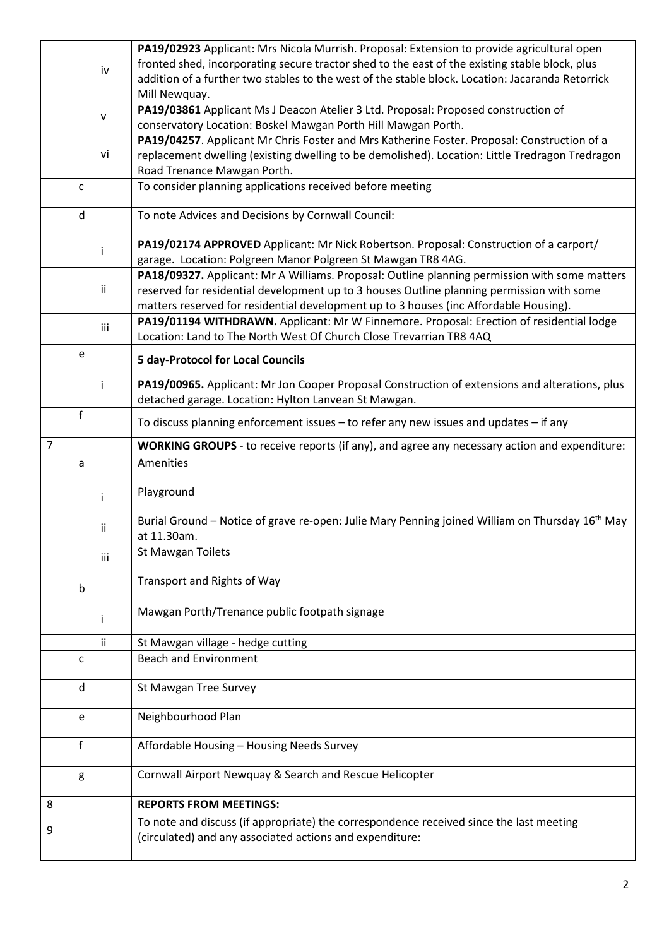|                |   |     | PA19/02923 Applicant: Mrs Nicola Murrish. Proposal: Extension to provide agricultural open                                                          |
|----------------|---|-----|-----------------------------------------------------------------------------------------------------------------------------------------------------|
|                |   | iv  | fronted shed, incorporating secure tractor shed to the east of the existing stable block, plus                                                      |
|                |   |     | addition of a further two stables to the west of the stable block. Location: Jacaranda Retorrick                                                    |
|                |   |     | Mill Newquay.                                                                                                                                       |
|                |   | ۷   | PA19/03861 Applicant Ms J Deacon Atelier 3 Ltd. Proposal: Proposed construction of                                                                  |
|                |   |     | conservatory Location: Boskel Mawgan Porth Hill Mawgan Porth.                                                                                       |
|                |   |     | PA19/04257. Applicant Mr Chris Foster and Mrs Katherine Foster. Proposal: Construction of a                                                         |
|                |   | vi  | replacement dwelling (existing dwelling to be demolished). Location: Little Tredragon Tredragon                                                     |
|                |   |     | Road Trenance Mawgan Porth.                                                                                                                         |
|                | C |     | To consider planning applications received before meeting                                                                                           |
|                | d |     | To note Advices and Decisions by Cornwall Council:                                                                                                  |
|                |   |     | PA19/02174 APPROVED Applicant: Mr Nick Robertson. Proposal: Construction of a carport/                                                              |
|                |   | İ.  | garage. Location: Polgreen Manor Polgreen St Mawgan TR8 4AG.                                                                                        |
|                |   |     | PA18/09327. Applicant: Mr A Williams. Proposal: Outline planning permission with some matters                                                       |
|                |   | ij. | reserved for residential development up to 3 houses Outline planning permission with some                                                           |
|                |   |     | matters reserved for residential development up to 3 houses (inc Affordable Housing).                                                               |
|                |   |     | PA19/01194 WITHDRAWN. Applicant: Mr W Finnemore. Proposal: Erection of residential lodge                                                            |
|                |   | iii | Location: Land to The North West Of Church Close Trevarrian TR8 4AQ                                                                                 |
|                | e |     | <b>5 day-Protocol for Local Councils</b>                                                                                                            |
|                |   | j.  | PA19/00965. Applicant: Mr Jon Cooper Proposal Construction of extensions and alterations, plus                                                      |
|                |   |     | detached garage. Location: Hylton Lanvean St Mawgan.                                                                                                |
|                | f |     |                                                                                                                                                     |
|                |   |     | To discuss planning enforcement issues - to refer any new issues and updates - if any                                                               |
| $\overline{7}$ |   |     | WORKING GROUPS - to receive reports (if any), and agree any necessary action and expenditure:                                                       |
|                | a |     | Amenities                                                                                                                                           |
|                |   | j.  | Playground                                                                                                                                          |
|                |   | ii  | Burial Ground – Notice of grave re-open: Julie Mary Penning joined William on Thursday 16 <sup>th</sup> May                                         |
|                |   |     | at 11.30am.                                                                                                                                         |
|                |   | iii | <b>St Mawgan Toilets</b>                                                                                                                            |
|                |   |     | Transport and Rights of Way                                                                                                                         |
|                | b |     |                                                                                                                                                     |
|                |   | i.  | Mawgan Porth/Trenance public footpath signage                                                                                                       |
|                |   | ii. | St Mawgan village - hedge cutting                                                                                                                   |
|                | c |     | <b>Beach and Environment</b>                                                                                                                        |
|                |   |     |                                                                                                                                                     |
|                | d |     | St Mawgan Tree Survey                                                                                                                               |
|                | e |     | Neighbourhood Plan                                                                                                                                  |
|                | f |     | Affordable Housing - Housing Needs Survey                                                                                                           |
|                |   |     |                                                                                                                                                     |
|                | g |     | Cornwall Airport Newquay & Search and Rescue Helicopter                                                                                             |
| 8              |   |     | <b>REPORTS FROM MEETINGS:</b>                                                                                                                       |
| 9              |   |     | To note and discuss (if appropriate) the correspondence received since the last meeting<br>(circulated) and any associated actions and expenditure: |